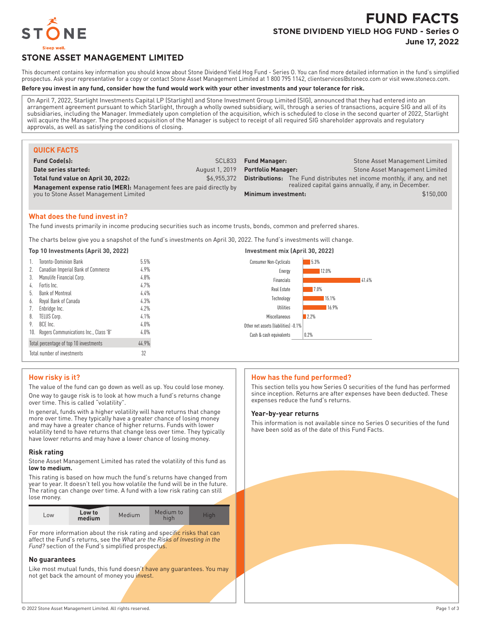

# **FUND FACTS STONE DIVIDEND YIELD HOG FUND - Series O**

**June 17, 2022**

# **STONE ASSET MANAGEMENT LIMITED**

This document contains key information you should know about Stone Dividend Yield Hog Fund - Series O. You can find more detailed information in the fund's simplified prospectus. Ask your representative for a copy or contact Stone Asset Management Limited at 1 800 795 1142, clientservices@stoneco.com or visit www.stoneco.com.

#### **Before you invest in any fund, consider how the fund would work with your other investments and your tolerance for risk.**

On April 7, 2022, Starlight Investments Capital LP (Starlight) and Stone Investment Group Limited (SIG), announced that they had entered into an arrangement agreement pursuant to which Starlight, through a wholly owned subsidiary, will, through a series of transactions, acquire SIG and all of its subsidiaries, including the Manager. Immediately upon completion of the acquisition, which is scheduled to close in the second quarter of 2022, Starlight will acquire the Manager. The proposed acquisition of the Manager is subject to receipt of all required SIG shareholder approvals and regulatory approvals, as well as satisfying the conditions of closing.

| <b>QUICK FACTS</b>                                                   |                |                           |                                                       |                                                                                |
|----------------------------------------------------------------------|----------------|---------------------------|-------------------------------------------------------|--------------------------------------------------------------------------------|
| <b>Fund Code(s):</b>                                                 | SCL833         | <b>Fund Manager:</b>      |                                                       | Stone Asset Management Limited                                                 |
| Date series started:                                                 | August 1, 2019 | <b>Portfolio Manager:</b> |                                                       | Stone Asset Management Limited                                                 |
| Total fund value on April 30, 2022:                                  | \$6.955.372    |                           |                                                       | <b>Distributions:</b> The Fund distributes net income monthly, if any, and net |
| Management expense ratio (MER): Management fees are paid directly by |                |                           | realized capital gains annually, if any, in December. |                                                                                |
| you to Stone Asset Management Limited                                |                | Minimum investment:       |                                                       | \$150,000                                                                      |
|                                                                      |                |                           |                                                       |                                                                                |

#### **What does the fund invest in?**

The fund invests primarily in income producing securities such as income trusts, bonds, common and preferred shares.

The charts below give you a snapshot of the fund's investments on April 30, 2022. The fund's investments will change.

| Top 10 Investments (April 30, 2022) |                                           |         | Investment mix (April 30, 2022)      |             |  |
|-------------------------------------|-------------------------------------------|---------|--------------------------------------|-------------|--|
|                                     | Toronto-Dominion Bank                     | 5.5%    | Consumer Non-Cyclicals               | 5.3%        |  |
|                                     | Canadian Imperial Bank of Commerce        | $4.9\%$ | Energy                               | 12.0%       |  |
| 3.                                  | Manulife Financial Corp.                  | 4.8%    | Financials                           | 41.4%       |  |
| 4.                                  | Fortis Inc.                               | 4.7%    | Real Estate                          | <b>7.0%</b> |  |
| b.                                  | <b>Bank of Montreal</b>                   | 4.4%    | Technology                           | 15.1%       |  |
| 6.                                  | Royal Bank of Canada                      | 4.3%    |                                      |             |  |
|                                     | Enbridge Inc.                             | 4.2%    | Utilities                            | 16.9%       |  |
| 8.                                  | <b>TELUS Corp.</b>                        | 4.1%    | Miscellaneous                        | 12.2%       |  |
| 9.                                  | BCE Inc.                                  | $4.0\%$ | Other net assets (liabilities) -0.1% |             |  |
|                                     | 10. Rogers Communications Inc., Class 'B' | $4.0\%$ | Cash & cash equivalents              | 0.2%        |  |
|                                     | Total percentage of top 10 investments    | 44.9%   |                                      |             |  |
|                                     | Total number of investments               | 32      |                                      |             |  |

## **How risky is it?**

The value of the fund can go down as well as up. You could lose money.

One way to gauge risk is to look at how much a fund's returns change over time. This is called "volatility".

In general, funds with a higher volatility will have returns that change more over time. They typically have a greater chance of losing money and may have a greater chance of higher returns. Funds with lower volatility tend to have returns that change less over time. They typically have lower returns and may have a lower chance of losing money.

#### **Risk rating**

Stone Asset Management Limited has rated the volatility of this fund as **low to medium.**

This rating is based on how much the fund's returns have changed from year to year. It doesn't tell you how volatile the fund will be in the future. The rating can change over time. A fund with a low risk rating can still lose money.

| L <sub>OW</sub> | Low to<br>Medium<br>medium | Medium to<br>hiah | Hiah |
|-----------------|----------------------------|-------------------|------|
|-----------------|----------------------------|-------------------|------|

For more information about the risk rating and specific risks that can affect the Fund's returns, see the *What are the Risks of Investing in the Fund?* section of the Fund's simplified prospectus.

#### **No guarantees**

Like most mutual funds, this fund doesn't have any guarantees. You may not get back the amount of money you invest.

#### **How has the fund performed?**

This section tells you how Series O securities of the fund has performed since inception. Returns are after expenses have been deducted. These expenses reduce the fund's returns.

#### **Year-by-year returns**

This information is not available since no Series O securities of the fund have been sold as of the date of this Fund Facts.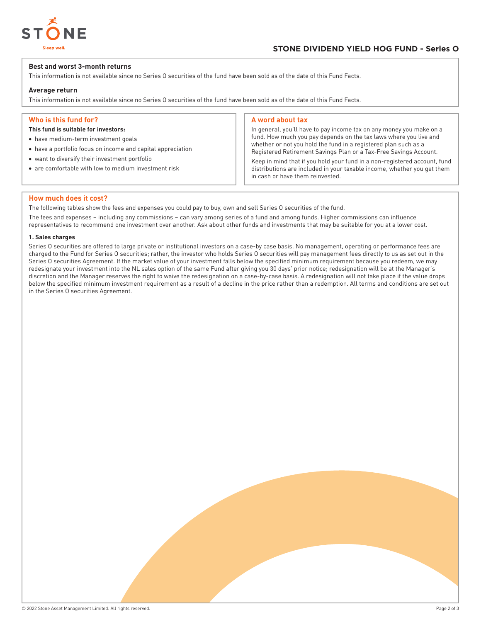

#### **Best and worst 3-month returns**

This information is not available since no Series O securities of the fund have been sold as of the date of this Fund Facts.

#### **Average return**

This information is not available since no Series O securities of the fund have been sold as of the date of this Fund Facts.

## **Who is this fund for?**

- **This fund is suitable for investors:**
- have medium-term investment goals
- have a portfolio focus on income and capital appreciation
- want to diversify their investment portfolio
- are comfortable with low to medium investment risk

#### **A word about tax**

In general, you'll have to pay income tax on any money you make on a fund. How much you pay depends on the tax laws where you live and whether or not you hold the fund in a registered plan such as a Registered Retirement Savings Plan or a Tax-Free Savings Account.

Keep in mind that if you hold your fund in a non-registered account, fund distributions are included in your taxable income, whether you get them in cash or have them reinvested.

#### **How much does it cost?**

The following tables show the fees and expenses you could pay to buy, own and sell Series O securities of the fund.

The fees and expenses – including any commissions – can vary among series of a fund and among funds. Higher commissions can influence representatives to recommend one investment over another. Ask about other funds and investments that may be suitable for you at a lower cost.

#### **1. Sales charges**

Series O securities are offered to large private or institutional investors on a case-by case basis. No management, operating or performance fees are charged to the Fund for Series O securities; rather, the investor who holds Series O securities will pay management fees directly to us as set out in the Series O securities Agreement. If the market value of your investment falls below the specified minimum requirement because you redeem, we may redesignate your investment into the NL sales option of the same Fund after giving you 30 days' prior notice; redesignation will be at the Manager's discretion and the Manager reserves the right to waive the redesignation on a case-by-case basis. A redesignation will not take place if the value drops below the specified minimum investment requirement as a result of a decline in the price rather than a redemption. All terms and conditions are set out in the Series O securities Agreement.